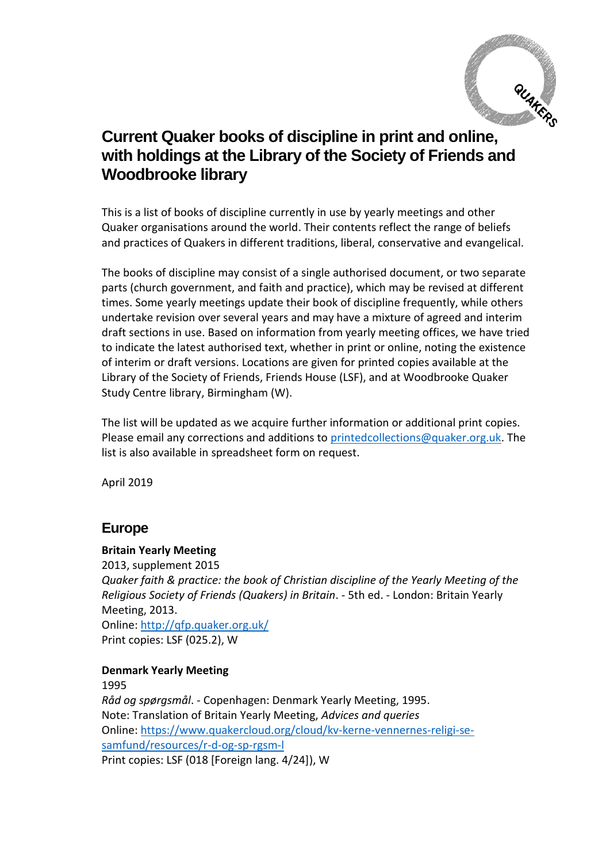

# **Current Quaker books of discipline in print and online, with holdings at the Library of the Society of Friends and Woodbrooke library**

This is a list of books of discipline currently in use by yearly meetings and other Quaker organisations around the world. Their contents reflect the range of beliefs and practices of Quakers in different traditions, liberal, conservative and evangelical.

The books of discipline may consist of a single authorised document, or two separate parts (church government, and faith and practice), which may be revised at different times. Some yearly meetings update their book of discipline frequently, while others undertake revision over several years and may have a mixture of agreed and interim draft sections in use. Based on information from yearly meeting offices, we have tried to indicate the latest authorised text, whether in print or online, noting the existence of interim or draft versions. Locations are given for printed copies available at the Library of the Society of Friends, Friends House (LSF), and at Woodbrooke Quaker Study Centre library, Birmingham (W).

The list will be updated as we acquire further information or additional print copies. Please email any corrections and additions to [printedcollections@quaker.org.uk.](mailto:printedcollections@quaker.org.uk) The list is also available in spreadsheet form on request.

April 2019

## **Europe**

### **Britain Yearly Meeting**

2013, supplement 2015 *Quaker faith & practice: the book of Christian discipline of the Yearly Meeting of the Religious Society of Friends (Quakers) in Britain*. - 5th ed. - London: Britain Yearly Meeting, 2013. Online:<http://qfp.quaker.org.uk/> Print copies: LSF (025.2), W

### **Denmark Yearly Meeting**

1995 *Råd og spørgsmål*. - Copenhagen: Denmark Yearly Meeting, 1995. Note: Translation of Britain Yearly Meeting, *Advices and queries* Online: [https://www.quakercloud.org/cloud/kv-kerne-vennernes-religi-se](https://www.quakercloud.org/cloud/kv-kerne-vennernes-religi-se-samfund/resources/r-d-og-sp-rgsm-l)[samfund/resources/r-d-og-sp-rgsm-l](https://www.quakercloud.org/cloud/kv-kerne-vennernes-religi-se-samfund/resources/r-d-og-sp-rgsm-l)  Print copies: LSF (018 [Foreign lang. 4/24]), W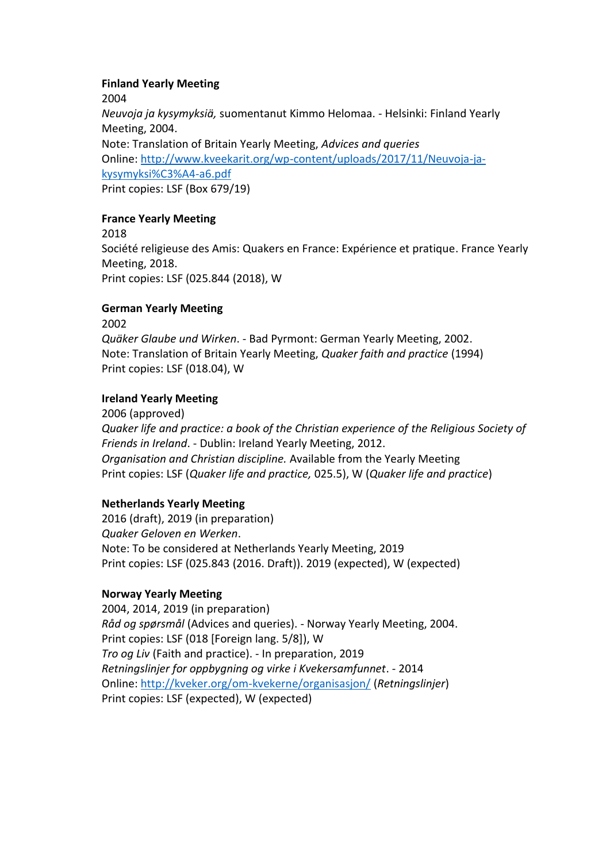#### **Finland Yearly Meeting**

2004

*Neuvoja ja kysymyksiä,* suomentanut Kimmo Helomaa. - Helsinki: Finland Yearly Meeting, 2004.

Note: Translation of Britain Yearly Meeting, *Advices and queries* Online: [http://www.kveekarit.org/wp-content/uploads/2017/11/Neuvoja-ja](http://www.kveekarit.org/wp-content/uploads/2017/11/Neuvoja-ja-kysymyksi%C3%A4-a6.pdf)[kysymyksi%C3%A4-a6.pdf](http://www.kveekarit.org/wp-content/uploads/2017/11/Neuvoja-ja-kysymyksi%C3%A4-a6.pdf)

Print copies: LSF (Box 679/19)

#### **France Yearly Meeting**

2018 Société religieuse des Amis: Quakers en France: Expérience et pratique. France Yearly Meeting, 2018. Print copies: LSF (025.844 (2018), W

#### **German Yearly Meeting**

2002 *Quäker Glaube und Wirken*. - Bad Pyrmont: German Yearly Meeting, 2002. Note: Translation of Britain Yearly Meeting, *Quaker faith and practice* (1994) Print copies: LSF (018.04), W

### **Ireland Yearly Meeting**

2006 (approved) *Quaker life and practice: a book of the Christian experience of the Religious Society of Friends in Ireland*. - Dublin: Ireland Yearly Meeting, 2012. *Organisation and Christian discipline.* Available from the Yearly Meeting Print copies: LSF (*Quaker life and practice,* 025.5), W (*Quaker life and practice*)

### **Netherlands Yearly Meeting**

2016 (draft), 2019 (in preparation) *Quaker Geloven en Werken*. Note: To be considered at Netherlands Yearly Meeting, 2019 Print copies: LSF (025.843 (2016. Draft)). 2019 (expected), W (expected)

### **Norway Yearly Meeting**

2004, 2014, 2019 (in preparation) *Råd og spørsmål* (Advices and queries). - Norway Yearly Meeting, 2004. Print copies: LSF (018 [Foreign lang. 5/8]), W *Tro og Liv* (Faith and practice). - In preparation, 2019 *Retningslinjer for oppbygning og virke i Kvekersamfunnet*. - 2014 Online:<http://kveker.org/om-kvekerne/organisasjon/> (*Retningslinjer*) Print copies: LSF (expected), W (expected)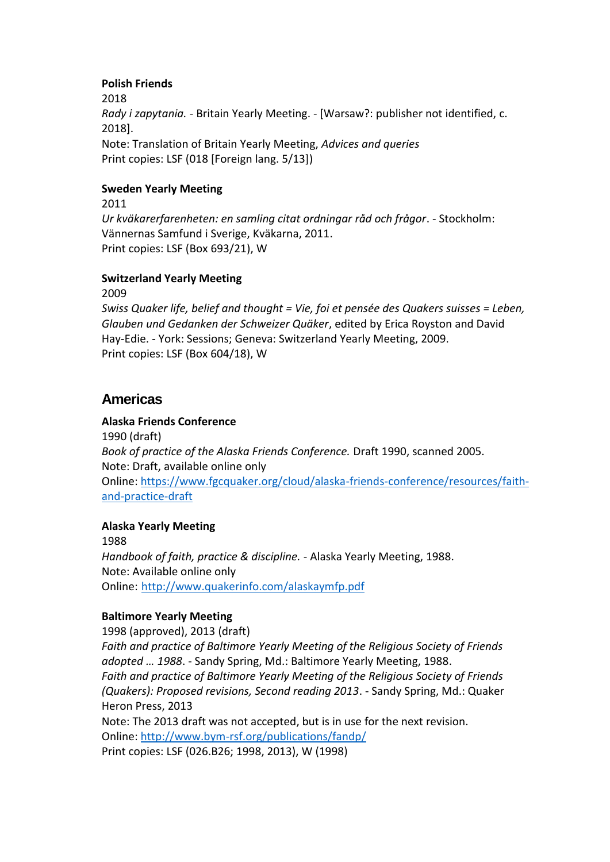#### **Polish Friends**

2018 *Rady i zapytania. -* Britain Yearly Meeting. - [Warsaw?: publisher not identified, c. 2018]. Note: Translation of Britain Yearly Meeting, *Advices and queries* Print copies: LSF (018 [Foreign lang. 5/13])

### **Sweden Yearly Meeting**

2011 *Ur kväkarerfarenheten: en samling citat ordningar råd och frågor*. - Stockholm: Vännernas Samfund i Sverige, Kväkarna, 2011. Print copies: LSF (Box 693/21), W

#### **Switzerland Yearly Meeting**

2009

*Swiss Quaker life, belief and thought = Vie, foi et pensée des Quakers suisses = Leben, Glauben und Gedanken der Schweizer Quäker*, edited by Erica Royston and David Hay-Edie. - York: Sessions; Geneva: Switzerland Yearly Meeting, 2009. Print copies: LSF (Box 604/18), W

## **Americas**

### **Alaska Friends Conference**

1990 (draft) *Book of practice of the Alaska Friends Conference.* Draft 1990, scanned 2005. Note: Draft, available online only Online: [https://www.fgcquaker.org/cloud/alaska-friends-conference/resources/faith](https://www.fgcquaker.org/cloud/alaska-friends-conference/resources/faith-and-practice-draft)[and-practice-draft](https://www.fgcquaker.org/cloud/alaska-friends-conference/resources/faith-and-practice-draft)

### **Alaska Yearly Meeting**

1988 *Handbook of faith, practice & discipline.* - Alaska Yearly Meeting, 1988. Note: Available online only Online: <http://www.quakerinfo.com/alaskaymfp.pdf>

#### **Baltimore Yearly Meeting**

1998 (approved), 2013 (draft) *Faith and practice of Baltimore Yearly Meeting of the Religious Society of Friends adopted … 1988*. - Sandy Spring, Md.: Baltimore Yearly Meeting, 1988. *Faith and practice of Baltimore Yearly Meeting of the Religious Society of Friends (Quakers): Proposed revisions, Second reading 2013*. - Sandy Spring, Md.: Quaker Heron Press, 2013 Note: The 2013 draft was not accepted, but is in use for the next revision. Online:<http://www.bym-rsf.org/publications/fandp/> Print copies: LSF (026.B26; 1998, 2013), W (1998)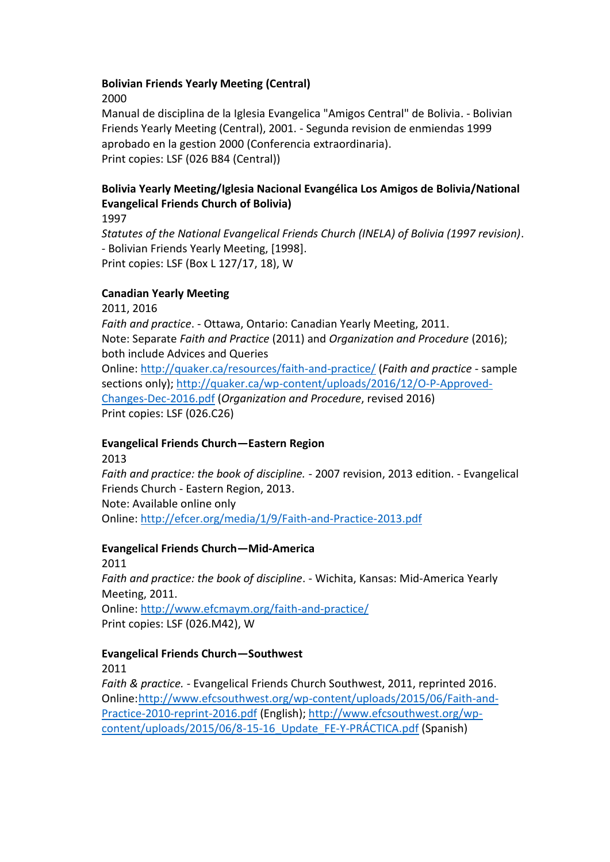#### **Bolivian Friends Yearly Meeting (Central)**

2000

Manual de disciplina de la Iglesia Evangelica "Amigos Central" de Bolivia. - Bolivian Friends Yearly Meeting (Central), 2001. - Segunda revision de enmiendas 1999 aprobado en la gestion 2000 (Conferencia extraordinaria). Print copies: LSF (026 B84 (Central))

## **Bolivia Yearly Meeting/Iglesia Nacional Evangélica Los Amigos de Bolivia/National Evangelical Friends Church of Bolivia)**

1997 *Statutes of the National Evangelical Friends Church (INELA) of Bolivia (1997 revision)*. - Bolivian Friends Yearly Meeting, [1998]. Print copies: LSF (Box L 127/17, 18), W

### **Canadian Yearly Meeting**

2011, 2016 *Faith and practice*. - Ottawa, Ontario: Canadian Yearly Meeting, 2011. Note: Separate *Faith and Practice* (2011) and *Organization and Procedure* (2016); both include Advices and Queries Online:<http://quaker.ca/resources/faith-and-practice/> (*Faith and practice* - sample sections only); [http://quaker.ca/wp-content/uploads/2016/12/O-P-Approved-](http://quaker.ca/wp-content/uploads/2016/12/O-P-Approved-Changes-Dec-2016.pdf)[Changes-Dec-2016.pdf](http://quaker.ca/wp-content/uploads/2016/12/O-P-Approved-Changes-Dec-2016.pdf) (*Organization and Procedure*, revised 2016) Print copies: LSF (026.C26)

### **Evangelical Friends Church—Eastern Region**

2013 *Faith and practice: the book of discipline.* - 2007 revision, 2013 edition. - Evangelical Friends Church - Eastern Region, 2013. Note: Available online only Online:<http://efcer.org/media/1/9/Faith-and-Practice-2013.pdf>

### **Evangelical Friends Church—Mid-America**

2011 *Faith and practice: the book of discipline*. - Wichita, Kansas: Mid-America Yearly Meeting, 2011. Online:<http://www.efcmaym.org/faith-and-practice/> Print copies: LSF (026.M42), W

### **Evangelical Friends Church—Southwest**

2011

*Faith & practice.* - Evangelical Friends Church Southwest, 2011, reprinted 2016. Online[:http://www.efcsouthwest.org/wp-content/uploads/2015/06/Faith-and-](http://www.efcsouthwest.org/wp-content/uploads/2015/06/Faith-and-Practice-2010-reprint-2016.pdf)[Practice-2010-reprint-2016.pdf](http://www.efcsouthwest.org/wp-content/uploads/2015/06/Faith-and-Practice-2010-reprint-2016.pdf) (English); [http://www.efcsouthwest.org/wp](http://www.efcsouthwest.org/wp-content/uploads/2015/06/8-15-16_Update_FE-Y-PRÁCTICA.pdf)[content/uploads/2015/06/8-15-16\\_Update\\_FE-Y-PRÁCTICA.pdf](http://www.efcsouthwest.org/wp-content/uploads/2015/06/8-15-16_Update_FE-Y-PRÁCTICA.pdf) (Spanish)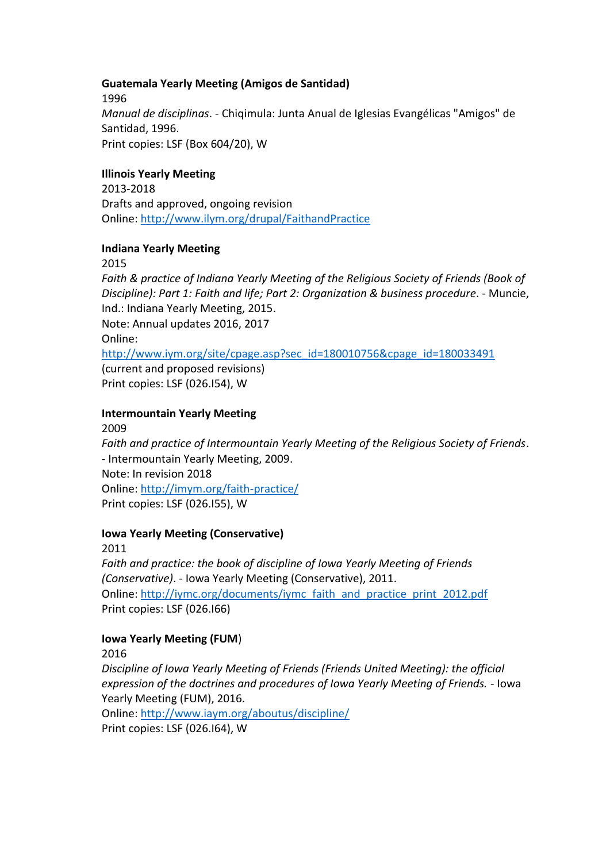#### **Guatemala Yearly Meeting (Amigos de Santidad)**

1996 *Manual de disciplinas*. - Chiqimula: Junta Anual de Iglesias Evangélicas "Amigos" de Santidad, 1996. Print copies: LSF (Box 604/20), W

### **Illinois Yearly Meeting**

2013-2018 Drafts and approved, ongoing revision Online:<http://www.ilym.org/drupal/FaithandPractice>

#### **Indiana Yearly Meeting**

2015

*Faith & practice of Indiana Yearly Meeting of the Religious Society of Friends (Book of Discipline): Part 1: Faith and life; Part 2: Organization & business procedure*. - Muncie, Ind.: Indiana Yearly Meeting, 2015.

Note: Annual updates 2016, 2017

Online:

[http://www.iym.org/site/cpage.asp?sec\\_id=180010756&cpage\\_id=180033491](http://www.iym.org/site/cpage.asp?sec_id=180010756&cpage_id=180033491)

(current and proposed revisions) Print copies: LSF (026.I54), W

#### **Intermountain Yearly Meeting**

2009 *Faith and practice of Intermountain Yearly Meeting of the Religious Society of Friends*. - Intermountain Yearly Meeting, 2009. Note: In revision 2018 Online:<http://imym.org/faith-practice/> Print copies: LSF (026.I55), W

#### **Iowa Yearly Meeting (Conservative)**

2011

*Faith and practice: the book of discipline of Iowa Yearly Meeting of Friends (Conservative)*. - Iowa Yearly Meeting (Conservative), 2011. Online: [http://iymc.org/documents/iymc\\_faith\\_and\\_practice\\_print\\_2012.pdf](http://iymc.org/documents/iymc_faith_and_practice_print_2012.pdf) Print copies: LSF (026.I66)

#### **Iowa Yearly Meeting (FUM**)

2016

*Discipline of Iowa Yearly Meeting of Friends (Friends United Meeting): the official expression of the doctrines and procedures of Iowa Yearly Meeting of Friends.* - Iowa Yearly Meeting (FUM), 2016.

Online:<http://www.iaym.org/aboutus/discipline/> Print copies: LSF (026.I64), W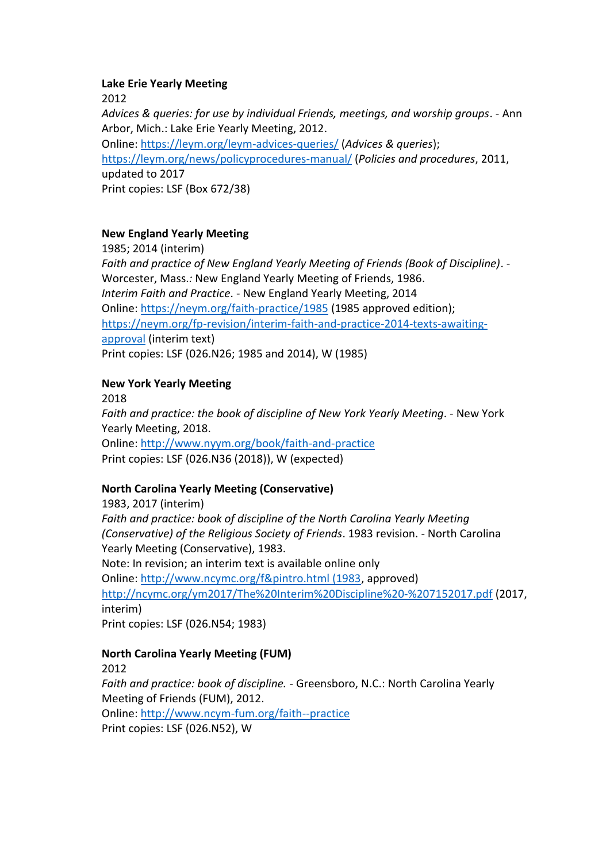#### **Lake Erie Yearly Meeting**

2012

*Advices & queries: for use by individual Friends, meetings, and worship groups*. - Ann Arbor, Mich.: Lake Erie Yearly Meeting, 2012. Online:<https://leym.org/leym-advices-queries/> (*Advices & queries*); <https://leym.org/news/policyprocedures-manual/> (*Policies and procedures*, 2011, updated to 2017 Print copies: LSF (Box 672/38)

### **New England Yearly Meeting**

1985; 2014 (interim) *Faith and practice of New England Yearly Meeting of Friends (Book of Discipline)*. - Worcester, Mass.*:* New England Yearly Meeting of Friends, 1986. *Interim Faith and Practice*. - New England Yearly Meeting, 2014 Online:<https://neym.org/faith-practice/1985> (1985 approved edition); [https://neym.org/fp-revision/interim-faith-and-practice-2014-texts-awaiting](https://neym.org/fp-revision/interim-faith-and-practice-2014-texts-awaiting-approval)[approval](https://neym.org/fp-revision/interim-faith-and-practice-2014-texts-awaiting-approval) (interim text) Print copies: LSF (026.N26; 1985 and 2014), W (1985)

#### **New York Yearly Meeting**

2018 *Faith and practice: the book of discipline of New York Yearly Meeting*. - New York Yearly Meeting, 2018. Online:<http://www.nyym.org/book/faith-and-practice> Print copies: LSF (026.N36 (2018)), W (expected)

### **North Carolina Yearly Meeting (Conservative)**

1983, 2017 (interim) *Faith and practice: book of discipline of the North Carolina Yearly Meeting (Conservative) of the Religious Society of Friends*. 1983 revision. - North Carolina Yearly Meeting (Conservative), 1983. Note: In revision; an interim text is available online only Online: [http://www.ncymc.org/f&pintro.html \(1983,](http://www.ncymc.org/f&pintro.html%20(1983) approved) <http://ncymc.org/ym2017/The%20Interim%20Discipline%20-%207152017.pdf> (2017, interim) Print copies: LSF (026.N54; 1983)

#### **North Carolina Yearly Meeting (FUM)**

2012

*Faith and practice: book of discipline.* - Greensboro, N.C.: North Carolina Yearly Meeting of Friends (FUM), 2012.

Online:<http://www.ncym-fum.org/faith--practice>

Print copies: LSF (026.N52), W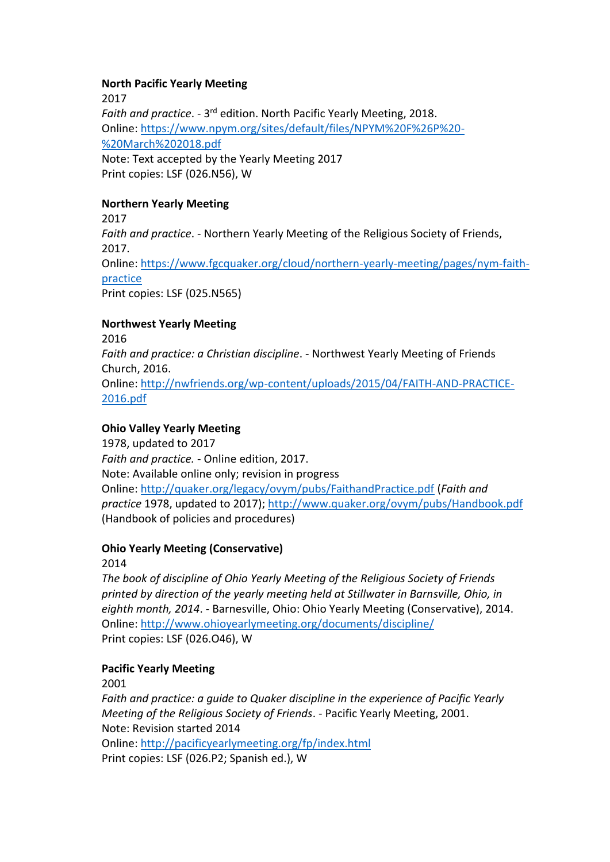#### **North Pacific Yearly Meeting**

2017 Faith and practice. - 3<sup>rd</sup> edition. North Pacific Yearly Meeting, 2018. Online: [https://www.npym.org/sites/default/files/NPYM%20F%26P%20-](https://www.npym.org/sites/default/files/NPYM%20F%26P%20-%20March%202018.pdf) [%20March%202018.pdf](https://www.npym.org/sites/default/files/NPYM%20F%26P%20-%20March%202018.pdf) Note: Text accepted by the Yearly Meeting 2017 Print copies: LSF (026.N56), W

### **Northern Yearly Meeting**

2017 *Faith and practice*. - Northern Yearly Meeting of the Religious Society of Friends, 2017. Online: [https://www.fgcquaker.org/cloud/northern-yearly-meeting/pages/nym-faith](https://www.fgcquaker.org/cloud/northern-yearly-meeting/pages/nym-faith-practice)[practice](https://www.fgcquaker.org/cloud/northern-yearly-meeting/pages/nym-faith-practice) Print copies: LSF (025.N565)

### **Northwest Yearly Meeting**

2016 *Faith and practice: a Christian discipline*. - Northwest Yearly Meeting of Friends Church, 2016. Online: [http://nwfriends.org/wp-content/uploads/2015/04/FAITH-AND-PRACTICE-](http://nwfriends.org/wp-content/uploads/2015/04/FAITH-AND-PRACTICE-2016.pdf)[2016.pdf](http://nwfriends.org/wp-content/uploads/2015/04/FAITH-AND-PRACTICE-2016.pdf)

### **Ohio Valley Yearly Meeting**

1978, updated to 2017 *Faith and practice.* - Online edition, 2017. Note: Available online only; revision in progress Online:<http://quaker.org/legacy/ovym/pubs/FaithandPractice.pdf> (*Faith and practice* 1978, updated to 2017);<http://www.quaker.org/ovym/pubs/Handbook.pdf> (Handbook of policies and procedures)

### **Ohio Yearly Meeting (Conservative)**

2014

*The book of discipline of Ohio Yearly Meeting of the Religious Society of Friends printed by direction of the yearly meeting held at Stillwater in Barnsville, Ohio, in eighth month, 2014*. - Barnesville, Ohio: Ohio Yearly Meeting (Conservative), 2014. Online:<http://www.ohioyearlymeeting.org/documents/discipline/> Print copies: LSF (026.O46), W

### **Pacific Yearly Meeting**

2001

*Faith and practice: a guide to Quaker discipline in the experience of Pacific Yearly Meeting of the Religious Society of Friends*. - Pacific Yearly Meeting, 2001. Note: Revision started 2014 Online:<http://pacificyearlymeeting.org/fp/index.html> Print copies: LSF (026.P2; Spanish ed.), W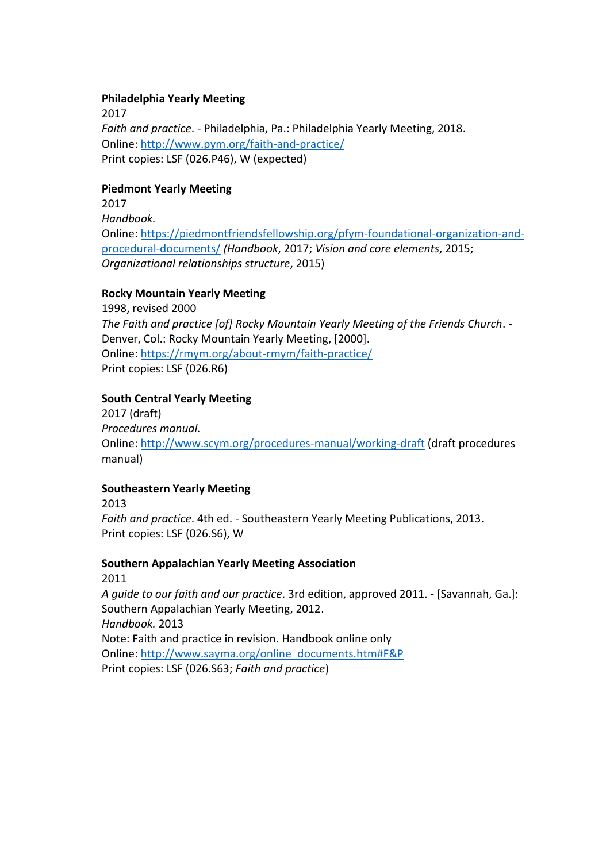#### **Philadelphia Yearly Meeting**

2017 *Faith and practice*. - Philadelphia, Pa.: Philadelphia Yearly Meeting, 2018. Online:<http://www.pym.org/faith-and-practice/> Print copies: LSF (026.P46), W (expected)

#### **Piedmont Yearly Meeting**

2017 *Handbook.* Online: [https://piedmontfriendsfellowship.org/pfym-foundational-organization-and](https://piedmontfriendsfellowship.org/pfym-foundational-organization-and-procedural-documents/)[procedural-documents/](https://piedmontfriendsfellowship.org/pfym-foundational-organization-and-procedural-documents/) *(Handbook*, 2017; *Vision and core elements*, 2015; *Organizational relationships structure*, 2015)

#### **Rocky Mountain Yearly Meeting**

1998, revised 2000 *The Faith and practice [of] Rocky Mountain Yearly Meeting of the Friends Church*. - Denver, Col.: Rocky Mountain Yearly Meeting, [2000]. Online:<https://rmym.org/about-rmym/faith-practice/> Print copies: LSF (026.R6)

#### **South Central Yearly Meeting**

2017 (draft) *Procedures manual.* Online:<http://www.scym.org/procedures-manual/working-draft> (draft procedures manual)

#### **Southeastern Yearly Meeting**

2013

*Faith and practice*. 4th ed. - Southeastern Yearly Meeting Publications, 2013. Print copies: LSF (026.S6), W

#### **Southern Appalachian Yearly Meeting Association** 2011

*A guide to our faith and our practice*. 3rd edition, approved 2011. - [Savannah, Ga.]: Southern Appalachian Yearly Meeting, 2012. *Handbook.* 2013 Note: Faith and practice in revision. Handbook online only Online: [http://www.sayma.org/online\\_documents.htm#F&P](http://www.sayma.org/online_documents.htm#F&P) Print copies: LSF (026.S63; *Faith and practice*)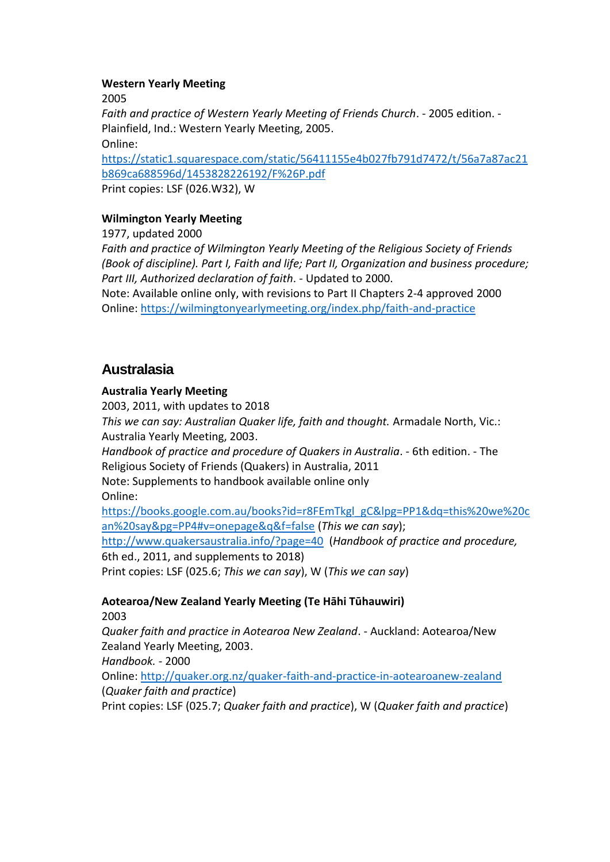#### **Western Yearly Meeting**

2005

*Faith and practice of Western Yearly Meeting of Friends Church*. - 2005 edition. - Plainfield, Ind.: Western Yearly Meeting, 2005. Online: [https://static1.squarespace.com/static/56411155e4b027fb791d7472/t/56a7a87ac21](https://static1.squarespace.com/static/56411155e4b027fb791d7472/t/56a7a87ac21b869ca688596d/1453828226192/F%26P.pdf) [b869ca688596d/1453828226192/F%26P.pdf](https://static1.squarespace.com/static/56411155e4b027fb791d7472/t/56a7a87ac21b869ca688596d/1453828226192/F%26P.pdf)

Print copies: LSF (026.W32), W

### **Wilmington Yearly Meeting**

1977, updated 2000

*Faith and practice of Wilmington Yearly Meeting of the Religious Society of Friends (Book of discipline). Part I, Faith and life; Part II, Organization and business procedure; Part III, Authorized declaration of faith*. - Updated to 2000.

Note: Available online only, with revisions to Part II Chapters 2-4 approved 2000 Online: <https://wilmingtonyearlymeeting.org/index.php/faith-and-practice>

## **Australasia**

#### **Australia Yearly Meeting**

2003, 2011, with updates to 2018 *This we can say: Australian Quaker life, faith and thought.* Armadale North, Vic.: Australia Yearly Meeting, 2003. *Handbook of practice and procedure of Quakers in Australia*. - 6th edition. - The Religious Society of Friends (Quakers) in Australia, 2011 Note: Supplements to handbook available online only

Online:

[https://books.google.com.au/books?id=r8FEmTkgl\\_gC&lpg=PP1&dq=this%20we%20c](https://books.google.com.au/books?id=r8FEmTkgl_gC&lpg=PP1&dq=this%20we%20can%20say&pg=PP4#v=onepage&q&f=false) [an%20say&pg=PP4#v=onepage&q&f=false](https://books.google.com.au/books?id=r8FEmTkgl_gC&lpg=PP1&dq=this%20we%20can%20say&pg=PP4#v=onepage&q&f=false) (*This we can say*);

<http://www.quakersaustralia.info/?page=40>(*Handbook of practice and procedure,*  6th ed., 2011, and supplements to 2018)

Print copies: LSF (025.6; *This we can say*), W (*This we can say*)

### **Aotearoa/New Zealand Yearly Meeting (Te Hāhi Tūhauwiri)**

2003

*Quaker faith and practice in Aotearoa New Zealand*. - Auckland: Aotearoa/New Zealand Yearly Meeting, 2003.

*Handbook.* - 2000

Online:<http://quaker.org.nz/quaker-faith-and-practice-in-aotearoanew-zealand> (*Quaker faith and practice*)

Print copies: LSF (025.7; *Quaker faith and practice*), W (*Quaker faith and practice*)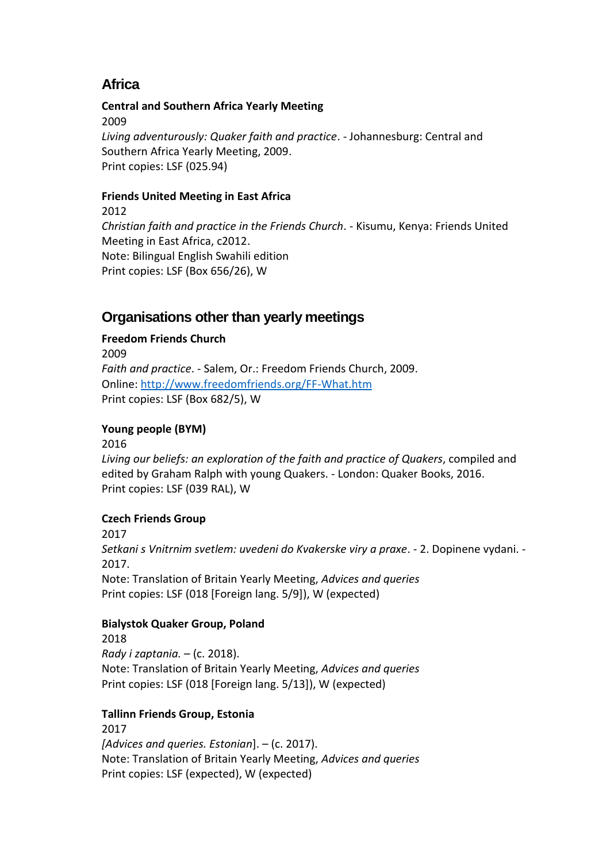## **Africa**

**Central and Southern Africa Yearly Meeting** 2009 *Living adventurously: Quaker faith and practice*. - Johannesburg: Central and Southern Africa Yearly Meeting, 2009. Print copies: LSF (025.94)

### **Friends United Meeting in East Africa**

2012 *Christian faith and practice in the Friends Church*. - Kisumu, Kenya: Friends United Meeting in East Africa, c2012. Note: Bilingual English Swahili edition Print copies: LSF (Box 656/26), W

## **Organisations other than yearly meetings**

### **Freedom Friends Church**

2009 *Faith and practice*. - Salem, Or.: Freedom Friends Church, 2009. Online:<http://www.freedomfriends.org/FF-What.htm> Print copies: LSF (Box 682/5), W

### **Young people (BYM)**

2016

*Living our beliefs: an exploration of the faith and practice of Quakers*, compiled and edited by Graham Ralph with young Quakers. - London: Quaker Books, 2016. Print copies: LSF (039 RAL), W

### **Czech Friends Group**

2017 *Setkani s Vnitrnim svetlem: uvedeni do Kvakerske viry a praxe*. - 2. Dopinene vydani. - 2017. Note: Translation of Britain Yearly Meeting, *Advices and queries* Print copies: LSF (018 [Foreign lang. 5/9]), W (expected)

### **Bialystok Quaker Group, Poland**

2018 *Rady i zaptania.* – (c. 2018). Note: Translation of Britain Yearly Meeting, *Advices and queries* Print copies: LSF (018 [Foreign lang. 5/13]), W (expected)

#### **Tallinn Friends Group, Estonia**

2017 *[Advices and queries. Estonian*]. – (c. 2017). Note: Translation of Britain Yearly Meeting, *Advices and queries* Print copies: LSF (expected), W (expected)